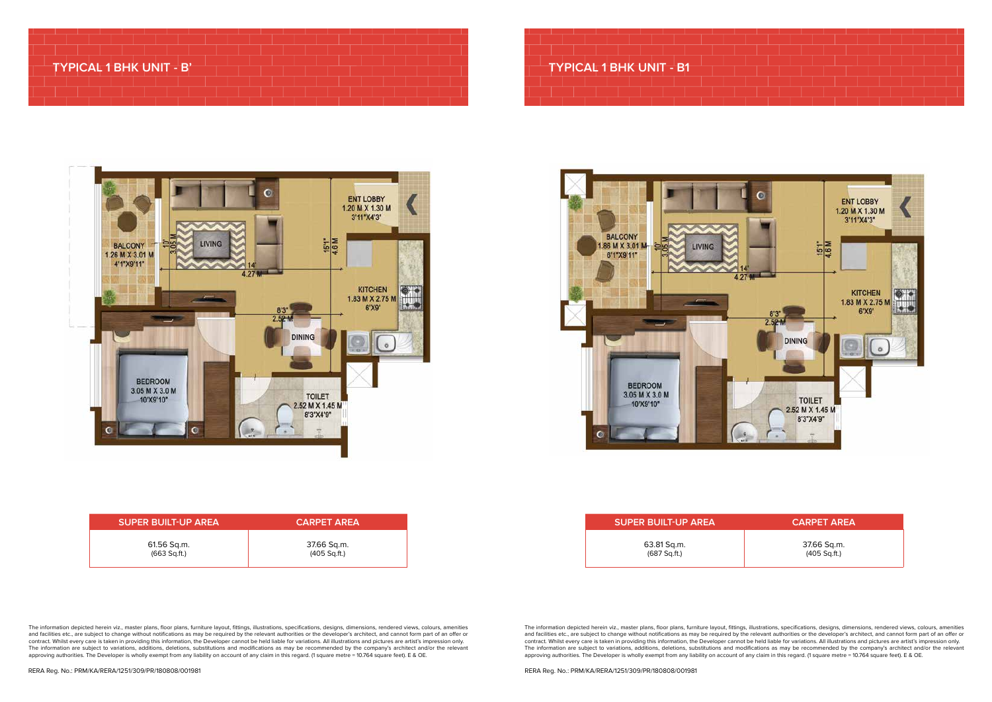# **TYPICAL 1 BHK UNIT - B'**

| <b>SUPER BUILT-UP AREA</b> | <b>CARPET AREA</b> |
|----------------------------|--------------------|
| 61.56 Sq.m.                | 37.66 Sq.m.        |
| $(663$ Sq.ft.)             | $(405$ Sq.ft.)     |

RERA Reg. No.: PRM/KA/RERA/1251/309/PR/180808/001981

The information depicted herein viz., master plans, floor plans, furniture layout, fittings, illustrations, specifications, designs, dimensions, rendered views, colours, amenities and facilities etc., are subject to change without notifications as may be required by the relevant authorities or the developer's architect, and cannot form part of an offer or contract. Whilst every care is taken in providing this information, the Developer cannot be held liable for variations. All illustrations and pictures are artist's impression only. The information are subject to variations, additions, deletions, substitutions and modifications as may be recommended by the company's architect and/or the relevant approving authorities. The Developer is wholly exempt from any liability on account of any claim in this regard. (1 square metre = 10.764 square feet). E & OE.

# **TYPICAL 1 BHK UNIT - B1**



|   | <b>BALCONY</b><br>1.86 M X 3.01 M<br>c        | <b>LIVING</b> |                   |
|---|-----------------------------------------------|---------------|-------------------|
|   | 6'1"X9'11"                                    | r             | $\frac{14}{4.27}$ |
| ø | <b>BEDROOM</b><br>3.05 M X 3.0 M<br>10'X9'10" |               |                   |

### **SUPER BUILT-UP AREA CARPET AREA**

| <b>SUPER BUILT-UP AREA</b> |  |
|----------------------------|--|
| 63.81 Sq.m.<br>(687 Sqft.) |  |

The information depicted herein viz., master plans, floor plans, furniture layout, fittings, illustrations, specifications, designs, dimensions, rendered views, colours, amenities and facilities etc., are subject to change without notifications as may be required by the relevant authorities or the developer's architect, and cannot form part of an offer or contract. Whilst every care is taken in providing this information, the Developer cannot be held liable for variations. All illustrations and pictures are artist's impression only. The information are subject to variations, additions, deletions, substitutions and modifications as may be recommended by the company's architect and/or the relevant approving authorities. The Developer is wholly exempt from any liability on account of any claim in this regard. (1 square metre = 10.764 square feet). E & OE.

37.66 Sq.m. (405 Sq.ft.)



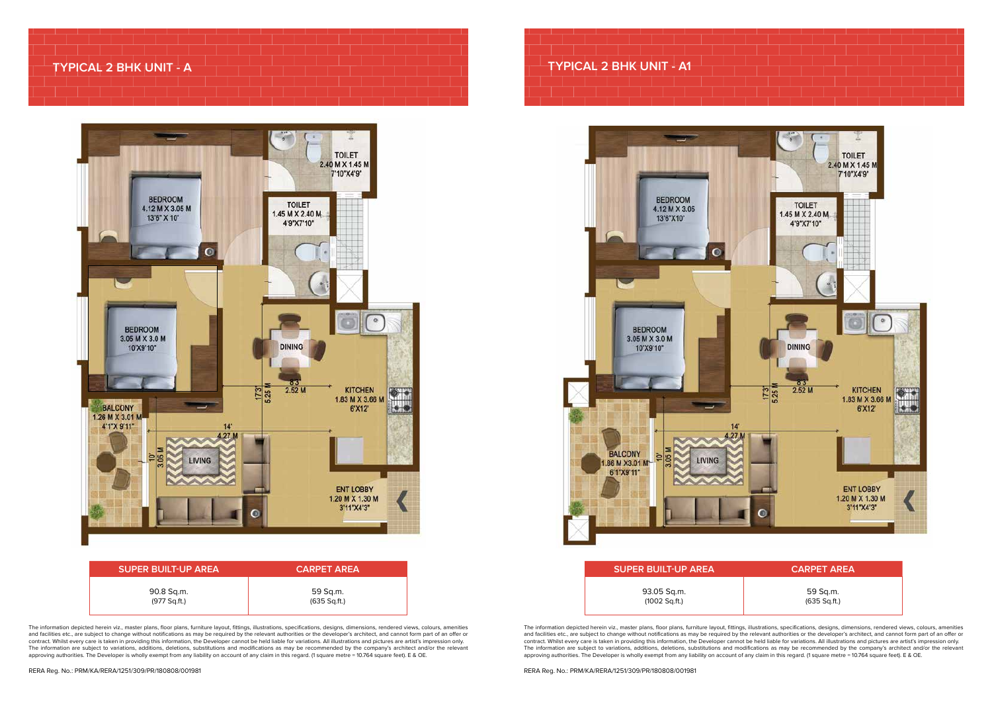| <b>SUPER BUILT-UP AREA</b> | <b>CARPET AREA</b> |
|----------------------------|--------------------|
| 90.8 Sq.m.                 | 59 Sq.m.           |
| (977 Sq.ft.)               | (635 Sq.ft.)       |

The information depicted herein viz., master plans, floor plans, furniture layout, fittings, illustrations, specifications, designs, dimensions, rendered views, colours, amenities and facilities etc., are subject to change without notifications as may be required by the relevant authorities or the developer's architect, and cannot form part of an offer or contract. Whilst every care is taken in providing this information, the Developer cannot be held liable for variations. All illustrations and pictures are artist's impression only. The information are subject to variations, additions, deletions, substitutions and modifications as may be recommended by the company's architect and/or the relevant approving authorities. The Developer is wholly exempt from any liability on account of any claim in this regard. (1 square metre = 10.764 square feet). E & OE.

## **TYPICAL 2 BHK UNIT - A**



The information depicted herein viz., master plans, floor plans, furniture layout, fittings, illustrations, specifications, designs, dimensions, rendered views, colours, amenities and facilities etc., are subject to change without notifications as may be required by the relevant authorities or the developer's architect, and cannot form part of an offer or contract. Whilst every care is taken in providing this information, the Developer cannot be held liable for variations. All illustrations and pictures are artist's impression only. The information are subject to variations, additions, deletions, substitutions and modifications as may be recommended by the company's architect and/or the relevant approving authorities. The Developer is wholly exempt from any liability on account of any claim in this regard. (1 square metre = 10.764 square feet). E & OE.

# **SUPER BUILT-UP AREA CARPET AREA** 93.05 Sq.m. (1002 Sq.ft.)

59 Sq.m. (635 Sq.ft.)

# **TYPICAL 2 BHK UNIT - A1**